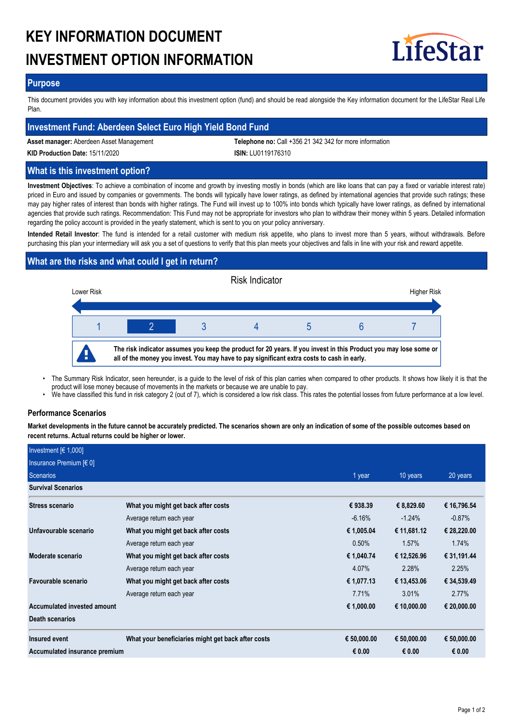# **KEY INFORMATION DOCUMENT INVESTMENT OPTION INFORMATION**



## **Purpose**

This document provides you with key information about this investment option (fund) and should be read alongside the Key information document for the LifeStar Real Life Plan.

## **Investment Fund: Aberdeen Select Euro High Yield Bond Fund**

**Asset manager:** Aberdeen Asset Management **Telephone no:** Call +356 21 342 342 for more information

**KID Production Date:** 15/11/2020 **ISIN:** LU0119176310

## **What is this investment option?**

**Investment Objectives**: To achieve a combination of income and growth by investing mostly in bonds (which are like loans that can pay a fixed or variable interest rate) priced in Euro and issued by companies or governments. The bonds will typically have lower ratings, as defined by international agencies that provide such ratings; these may pay higher rates of interest than bonds with higher ratings. The Fund will invest up to 100% into bonds which typically have lower ratings, as defined by international agencies that provide such ratings. Recommendation: This Fund may not be appropriate for investors who plan to withdraw their money within 5 years. Detailed information regarding the policy account is provided in the yearly statement, which is sent to you on your policy anniversary.

**Intended Retail Investor**: The fund is intended for a retail customer with medium risk appetite, who plans to invest more than 5 years, without withdrawals. Before purchasing this plan your intermediary will ask you a set of questions to verify that this plan meets your objectives and falls in line with your risk and reward appetite.

# **What are the risks and what could I get in return?**



- The Summary Risk Indicator, seen hereunder, is a guide to the level of risk of this plan carries when compared to other products. It shows how likely it is that the product will lose money because of movements in the markets or because we are unable to pay. •
- We have classified this fund in risk category 2 (out of 7), which is considered a low risk class. This rates the potential losses from future performance at a low level.

## **Performance Scenarios**

**Market developments in the future cannot be accurately predicted. The scenarios shown are only an indication of some of the possible outcomes based on recent returns. Actual returns could be higher or lower.**

| Investment $[6 1,000]$        |                                                    |             |             |             |
|-------------------------------|----------------------------------------------------|-------------|-------------|-------------|
| Insurance Premium [€ 0]       |                                                    |             |             |             |
| <b>Scenarios</b>              |                                                    | 1 year      | 10 years    | 20 years    |
| <b>Survival Scenarios</b>     |                                                    |             |             |             |
| <b>Stress scenario</b>        | What you might get back after costs                | € 938.39    | € 8,829.60  | € 16,796.54 |
|                               | Average return each year                           | $-6.16%$    | $-1.24%$    | $-0.87%$    |
| Unfavourable scenario         | What you might get back after costs                | € 1,005.04  | € 11,681.12 | € 28,220.00 |
|                               | Average return each year                           | 0.50%       | 1.57%       | 1.74%       |
| Moderate scenario             | What you might get back after costs                | € 1,040.74  | € 12,526.96 | € 31,191.44 |
|                               | Average return each year                           | 4.07%       | 2.28%       | 2.25%       |
| Favourable scenario           | What you might get back after costs                | € 1,077.13  | € 13,453.06 | € 34,539.49 |
|                               | Average return each year                           | 7.71%       | 3.01%       | 2.77%       |
| Accumulated invested amount   |                                                    | € 1,000.00  | € 10,000.00 | € 20,000.00 |
| Death scenarios               |                                                    |             |             |             |
| Insured event                 | What your beneficiaries might get back after costs | € 50,000.00 | € 50,000.00 | € 50,000.00 |
| Accumulated insurance premium |                                                    | € 0.00      | € 0.00      | € 0.00      |